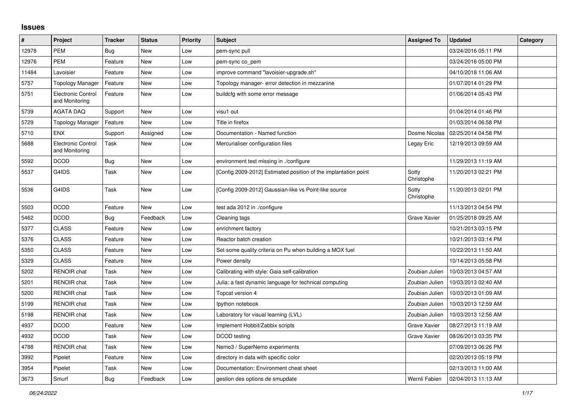## **Issues**

| $\vert$ # | Project                                     | <b>Tracker</b> | <b>Status</b> | <b>Priority</b> | <b>Subject</b>                                                  | <b>Assigned To</b>  | <b>Updated</b>      | Category |
|-----------|---------------------------------------------|----------------|---------------|-----------------|-----------------------------------------------------------------|---------------------|---------------------|----------|
| 12978     | <b>PEM</b>                                  | Bug            | New           | Low             | pem-sync pull                                                   |                     | 03/24/2016 05:11 PM |          |
| 12976     | <b>PEM</b>                                  | Feature        | New           | Low             | pem-sync co_pem                                                 |                     | 03/24/2016 05:00 PM |          |
| 11484     | Lavoisier                                   | Feature        | New           | Low             | improve command "lavoisier-upgrade.sh"                          |                     | 04/10/2018 11:06 AM |          |
| 5757      | Topology Manager                            | Feature        | <b>New</b>    | Low             | Topology manager- error detection in mezzanine                  |                     | 01/07/2014 01:29 PM |          |
| 5751      | <b>Electronic Control</b><br>and Monitoring | Feature        | New           | Low             | buildcfg with some error message                                |                     | 01/06/2014 05:43 PM |          |
| 5739      | <b>AGATA DAQ</b>                            | Support        | New           | Low             | visu1 out                                                       |                     | 01/04/2014 01:46 PM |          |
| 5729      | <b>Topology Manager</b>                     | Feature        | <b>New</b>    | Low             | Title in firefox                                                |                     | 01/03/2014 06:58 PM |          |
| 5710      | <b>ENX</b>                                  | Support        | Assigned      | Low             | Documentation - Named function                                  | Dosme Nicolas       | 02/25/2014 04:58 PM |          |
| 5688      | Electronic Control<br>and Monitoring        | Task           | New           | Low             | Mercurialiser configuration files                               | Legay Eric          | 12/19/2013 09:59 AM |          |
| 5592      | <b>DCOD</b>                                 | Bug            | New           | Low             | environment test missing in ./configure                         |                     | 11/29/2013 11:19 AM |          |
| 5537      | G4IDS                                       | Task           | New           | Low             | [Config 2009-2012] Estimated position of the implantation point | Sotty<br>Christophe | 11/20/2013 02:21 PM |          |
| 5536      | G4IDS                                       | Task           | New           | Low             | [Config 2009-2012] Gaussian-like vs Point-like source           | Sotty<br>Christophe | 11/20/2013 02:01 PM |          |
| 5503      | <b>DCOD</b>                                 | Feature        | New           | Low             | test ada 2012 in ./configure                                    |                     | 11/13/2013 04:54 PM |          |
| 5462      | <b>DCOD</b>                                 | <b>Bug</b>     | Feedback      | Low             | Cleaning tags                                                   | <b>Grave Xavier</b> | 01/25/2018 09:25 AM |          |
| 5377      | <b>CLASS</b>                                | Feature        | New           | Low             | enrichment factory                                              |                     | 10/21/2013 03:15 PM |          |
| 5376      | <b>CLASS</b>                                | Feature        | New           | Low             | Reactor batch creation                                          |                     | 10/21/2013 03:14 PM |          |
| 5350      | <b>CLASS</b>                                | Feature        | New           | Low             | Set some quality criteria on Pu when building a MOX fuel        |                     | 10/22/2013 11:50 AM |          |
| 5329      | <b>CLASS</b>                                | Feature        | New           | Low             | Power density                                                   |                     | 10/14/2013 05:58 PM |          |
| 5202      | <b>RENOIR</b> chat                          | Task           | New           | Low             | Calibrating with style: Gaia self-calibration                   | Zoubian Julien      | 10/03/2013 04:57 AM |          |
| 5201      | <b>RENOIR</b> chat                          | Task           | New           | Low             | Julia: a fast dynamic language for technical computing          | Zoubian Julien      | 10/03/2013 02:40 AM |          |
| 5200      | <b>RENOIR</b> chat                          | Task           | <b>New</b>    | Low             | Topcat version 4                                                | Zoubian Julien      | 10/03/2013 01:09 AM |          |
| 5199      | RENOIR chat                                 | Task           | New           | Low             | Ipython notebook                                                | Zoubian Julien      | 10/03/2013 12:59 AM |          |
| 5198      | <b>RENOIR chat</b>                          | <b>Task</b>    | <b>New</b>    | Low             | Laboratory for visual learning (LVL)                            | Zoubian Julien      | 10/03/2013 12:56 AM |          |
| 4937      | <b>DCOD</b>                                 | Feature        | <b>New</b>    | Low             | Implement Hobbit/Zabbix scripts                                 | Grave Xavier        | 08/27/2013 11:19 AM |          |
| 4932      | <b>DCOD</b>                                 | Task           | New           | Low             | DCOD testing                                                    | Grave Xavier        | 08/26/2013 03:35 PM |          |
| 4788      | <b>RENOIR</b> chat                          | Task           | New           | Low             | Nemo3 / SuperNemo experiments                                   |                     | 07/09/2013 06:26 PM |          |
| 3992      | Pipelet                                     | Feature        | New           | Low             | directory in data with specific color                           |                     | 02/20/2013 05:19 PM |          |
| 3954      | Pipelet                                     | Task           | <b>New</b>    | Low             | Documentation: Environment cheat sheet                          |                     | 02/13/2013 11:00 AM |          |
| 3673      | Smurf                                       | Bug            | Feedback      | Low             | gestion des options de smupdate                                 | Wernli Fabien       | 02/04/2013 11:13 AM |          |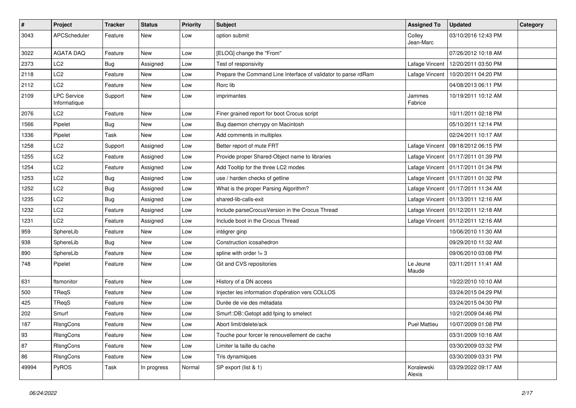| $\vert$ # | Project                            | <b>Tracker</b> | <b>Status</b> | <b>Priority</b> | <b>Subject</b>                                                 | <b>Assigned To</b>   | <b>Updated</b>                       | Category |
|-----------|------------------------------------|----------------|---------------|-----------------|----------------------------------------------------------------|----------------------|--------------------------------------|----------|
| 3043      | APCScheduler                       | Feature        | New           | Low             | option submit                                                  | Colley<br>Jean-Marc  | 03/10/2016 12:43 PM                  |          |
| 3022      | AGATA DAQ                          | Feature        | <b>New</b>    | Low             | [ELOG] change the "From"                                       |                      | 07/26/2012 10:18 AM                  |          |
| 2373      | LC <sub>2</sub>                    | <b>Bug</b>     | Assigned      | Low             | Test of responsivity                                           | Lafage Vincent       | 12/20/2011 03:50 PM                  |          |
| 2118      | LC <sub>2</sub>                    | Feature        | New           | Low             | Prepare the Command Line Interface of validator to parse rdRam | Lafage Vincent       | 10/20/2011 04:20 PM                  |          |
| 2112      | LC <sub>2</sub>                    | Feature        | New           | Low             | Rorc lib                                                       |                      | 04/08/2013 06:11 PM                  |          |
| 2109      | <b>LPC Service</b><br>Informatique | Support        | New           | Low             | imprimantes                                                    | Jammes<br>Fabrice    | 10/19/2011 10:12 AM                  |          |
| 2076      | LC <sub>2</sub>                    | Feature        | New           | Low             | Finer grained report for boot Crocus script                    |                      | 10/11/2011 02:18 PM                  |          |
| 1566      | Pipelet                            | <b>Bug</b>     | New           | Low             | Bug daemon cherrypy on Macintosh                               |                      | 05/10/2011 12:14 PM                  |          |
| 1336      | Pipelet                            | Task           | <b>New</b>    | Low             | Add comments in multiplex                                      |                      | 02/24/2011 10:17 AM                  |          |
| 1258      | LC <sub>2</sub>                    | Support        | Assigned      | Low             | Better report of mute FRT                                      | Lafage Vincent       | 09/18/2012 06:15 PM                  |          |
| 1255      | LC <sub>2</sub>                    | Feature        | Assigned      | Low             | Provide proper Shared-Object name to libraries                 |                      | Lafage Vincent   01/17/2011 01:39 PM |          |
| 1254      | LC <sub>2</sub>                    | Feature        | Assigned      | Low             | Add Tooltip for the three LC2 modes                            |                      | Lafage Vincent   01/17/2011 01:34 PM |          |
| 1253      | LC <sub>2</sub>                    | <b>Bug</b>     | Assigned      | Low             | use / harden checks of getline                                 |                      | Lafage Vincent   01/17/2011 01:32 PM |          |
| 1252      | LC <sub>2</sub>                    | Bug            | Assigned      | Low             | What is the proper Parsing Algorithm?                          |                      | Lafage Vincent   01/17/2011 11:34 AM |          |
| 1235      | LC <sub>2</sub>                    | <b>Bug</b>     | Assigned      | Low             | shared-lib-calls-exit                                          |                      | Lafage Vincent   01/13/2011 12:16 AM |          |
| 1232      | LC <sub>2</sub>                    | Feature        | Assigned      | Low             | Include parseCrocusVersion in the Crocus Thread                |                      | Lafage Vincent   01/12/2011 12:18 AM |          |
| 1231      | LC <sub>2</sub>                    | Feature        | Assigned      | Low             | Include boot in the Crocus Thread                              |                      | Lafage Vincent   01/12/2011 12:16 AM |          |
| 959       | SphereLib                          | Feature        | <b>New</b>    | Low             | intégrer ginp                                                  |                      | 10/06/2010 11:30 AM                  |          |
| 938       | SphereLib                          | Bug            | New           | Low             | Construction icosahedron                                       |                      | 09/29/2010 11:32 AM                  |          |
| 890       | SphereLib                          | Feature        | New           | Low             | spline with order $!= 3$                                       |                      | 09/06/2010 03:08 PM                  |          |
| 748       | Pipelet                            | Feature        | New           | Low             | Git and CVS repositories                                       | Le Jeune<br>Maude    | 03/11/2011 11:41 AM                  |          |
| 631       | ftsmonitor                         | Feature        | New           | Low             | History of a DN access                                         |                      | 10/22/2010 10:10 AM                  |          |
| 500       | TReqS                              | Feature        | New           | Low             | Injecter les information d'opération vers COLLOS               |                      | 03/24/2015 04:29 PM                  |          |
| 425       | TReqS                              | Feature        | New           | Low             | Durée de vie des métadata                                      |                      | 03/24/2015 04:30 PM                  |          |
| 202       | Smurf                              | Feature        | New           | Low             | Smurf::DB::Getopt add fping to smelect                         |                      | 10/21/2009 04:46 PM                  |          |
| 187       | <b>RIsngCons</b>                   | Feature        | New           | Low             | Abort limit/delete/ack                                         | <b>Puel Mattieu</b>  | 10/07/2009 01:08 PM                  |          |
| 93        | RIsngCons                          | Feature        | New           | Low             | Touche pour forcer le renouvellement de cache                  |                      | 03/31/2009 10:16 AM                  |          |
| 87        | RIsngCons                          | Feature        | New           | Low             | Limiter la taille du cache                                     |                      | 03/30/2009 03:32 PM                  |          |
| 86        | RIsngCons                          | Feature        | New           | Low             | Tris dynamiques                                                |                      | 03/30/2009 03:31 PM                  |          |
| 49994     | PyROS                              | Task           | In progress   | Normal          | SP export (list & 1)                                           | Koralewski<br>Alexis | 03/29/2022 09:17 AM                  |          |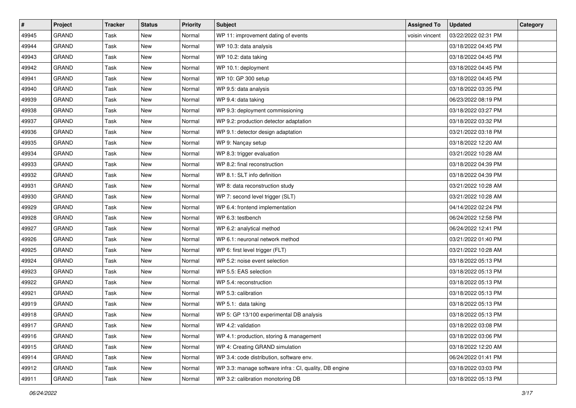| $\sharp$ | Project      | <b>Tracker</b> | <b>Status</b> | <b>Priority</b> | <b>Subject</b>                                         | <b>Assigned To</b> | <b>Updated</b>      | Category |
|----------|--------------|----------------|---------------|-----------------|--------------------------------------------------------|--------------------|---------------------|----------|
| 49945    | <b>GRAND</b> | Task           | New           | Normal          | WP 11: improvement dating of events                    | voisin vincent     | 03/22/2022 02:31 PM |          |
| 49944    | <b>GRAND</b> | Task           | New           | Normal          | WP 10.3: data analysis                                 |                    | 03/18/2022 04:45 PM |          |
| 49943    | GRAND        | <b>Task</b>    | New           | Normal          | WP 10.2: data taking                                   |                    | 03/18/2022 04:45 PM |          |
| 49942    | <b>GRAND</b> | Task           | New           | Normal          | WP 10.1: deployment                                    |                    | 03/18/2022 04:45 PM |          |
| 49941    | <b>GRAND</b> | Task           | New           | Normal          | WP 10: GP 300 setup                                    |                    | 03/18/2022 04:45 PM |          |
| 49940    | <b>GRAND</b> | Task           | New           | Normal          | WP 9.5: data analysis                                  |                    | 03/18/2022 03:35 PM |          |
| 49939    | <b>GRAND</b> | <b>Task</b>    | New           | Normal          | WP 9.4: data taking                                    |                    | 06/23/2022 08:19 PM |          |
| 49938    | GRAND        | Task           | New           | Normal          | WP 9.3: deployment commissioning                       |                    | 03/18/2022 03:27 PM |          |
| 49937    | <b>GRAND</b> | Task           | New           | Normal          | WP 9.2: production detector adaptation                 |                    | 03/18/2022 03:32 PM |          |
| 49936    | <b>GRAND</b> | Task           | New           | Normal          | WP 9.1: detector design adaptation                     |                    | 03/21/2022 03:18 PM |          |
| 49935    | <b>GRAND</b> | <b>Task</b>    | New           | Normal          | WP 9: Nançay setup                                     |                    | 03/18/2022 12:20 AM |          |
| 49934    | <b>GRAND</b> | Task           | New           | Normal          | WP 8.3: trigger evaluation                             |                    | 03/21/2022 10:28 AM |          |
| 49933    | <b>GRAND</b> | Task           | New           | Normal          | WP 8.2: final reconstruction                           |                    | 03/18/2022 04:39 PM |          |
| 49932    | <b>GRAND</b> | Task           | New           | Normal          | WP 8.1: SLT info definition                            |                    | 03/18/2022 04:39 PM |          |
| 49931    | <b>GRAND</b> | Task           | New           | Normal          | WP 8: data reconstruction study                        |                    | 03/21/2022 10:28 AM |          |
| 49930    | <b>GRAND</b> | Task           | New           | Normal          | WP 7: second level trigger (SLT)                       |                    | 03/21/2022 10:28 AM |          |
| 49929    | <b>GRAND</b> | Task           | <b>New</b>    | Normal          | WP 6.4: frontend implementation                        |                    | 04/14/2022 02:24 PM |          |
| 49928    | <b>GRAND</b> | Task           | New           | Normal          | WP 6.3: testbench                                      |                    | 06/24/2022 12:58 PM |          |
| 49927    | <b>GRAND</b> | Task           | New           | Normal          | WP 6.2: analytical method                              |                    | 06/24/2022 12:41 PM |          |
| 49926    | <b>GRAND</b> | Task           | New           | Normal          | WP 6.1: neuronal network method                        |                    | 03/21/2022 01:40 PM |          |
| 49925    | <b>GRAND</b> | Task           | New           | Normal          | WP 6: first level trigger (FLT)                        |                    | 03/21/2022 10:28 AM |          |
| 49924    | <b>GRAND</b> | Task           | New           | Normal          | WP 5.2: noise event selection                          |                    | 03/18/2022 05:13 PM |          |
| 49923    | <b>GRAND</b> | Task           | New           | Normal          | WP 5.5: EAS selection                                  |                    | 03/18/2022 05:13 PM |          |
| 49922    | <b>GRAND</b> | Task           | New           | Normal          | WP 5.4: reconstruction                                 |                    | 03/18/2022 05:13 PM |          |
| 49921    | <b>GRAND</b> | Task           | New           | Normal          | WP 5.3: calibration                                    |                    | 03/18/2022 05:13 PM |          |
| 49919    | <b>GRAND</b> | Task           | New           | Normal          | WP 5.1: data taking                                    |                    | 03/18/2022 05:13 PM |          |
| 49918    | <b>GRAND</b> | Task           | <b>New</b>    | Normal          | WP 5: GP 13/100 experimental DB analysis               |                    | 03/18/2022 05:13 PM |          |
| 49917    | GRAND        | Task           | New           | Normal          | WP 4.2: validation                                     |                    | 03/18/2022 03:08 PM |          |
| 49916    | GRAND        | Task           | New           | Normal          | WP 4.1: production, storing & management               |                    | 03/18/2022 03:06 PM |          |
| 49915    | GRAND        | Task           | New           | Normal          | WP 4: Creating GRAND simulation                        |                    | 03/18/2022 12:20 AM |          |
| 49914    | GRAND        | Task           | New           | Normal          | WP 3.4: code distribution, software env.               |                    | 06/24/2022 01:41 PM |          |
| 49912    | GRAND        | Task           | New           | Normal          | WP 3.3: manage software infra : CI, quality, DB engine |                    | 03/18/2022 03:03 PM |          |
| 49911    | GRAND        | Task           | New           | Normal          | WP 3.2: calibration monotoring DB                      |                    | 03/18/2022 05:13 PM |          |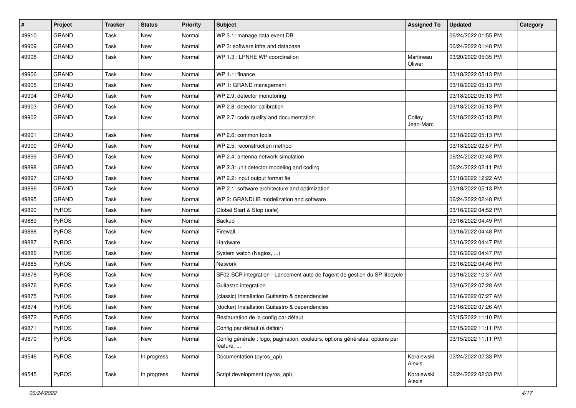| #     | Project      | <b>Tracker</b> | <b>Status</b> | <b>Priority</b> | <b>Subject</b>                                                                           | <b>Assigned To</b>   | <b>Updated</b>      | Category |
|-------|--------------|----------------|---------------|-----------------|------------------------------------------------------------------------------------------|----------------------|---------------------|----------|
| 49910 | <b>GRAND</b> | Task           | New           | Normal          | WP 3.1: manage data event DB                                                             |                      | 06/24/2022 01:55 PM |          |
| 49909 | <b>GRAND</b> | Task           | New           | Normal          | WP 3: software infra and database                                                        |                      | 06/24/2022 01:48 PM |          |
| 49908 | <b>GRAND</b> | Task           | New           | Normal          | WP 1.3 : LPNHE WP coordination                                                           | Martineau<br>Olivier | 03/20/2022 05:35 PM |          |
| 49906 | <b>GRAND</b> | Task           | <b>New</b>    | Normal          | WP 1.1: finance                                                                          |                      | 03/18/2022 05:13 PM |          |
| 49905 | <b>GRAND</b> | Task           | New           | Normal          | WP 1: GRAND management                                                                   |                      | 03/18/2022 05:13 PM |          |
| 49904 | <b>GRAND</b> | Task           | New           | Normal          | WP 2.9: detector monotoring                                                              |                      | 03/18/2022 05:13 PM |          |
| 49903 | <b>GRAND</b> | Task           | New           | Normal          | WP 2.8: detector calibration                                                             |                      | 03/18/2022 05:13 PM |          |
| 49902 | <b>GRAND</b> | Task           | New           | Normal          | WP 2.7: code quality and documentation                                                   | Colley<br>Jean-Marc  | 03/18/2022 05:13 PM |          |
| 49901 | <b>GRAND</b> | Task           | <b>New</b>    | Normal          | WP 2.6: common tools                                                                     |                      | 03/18/2022 05:13 PM |          |
| 49900 | <b>GRAND</b> | Task           | New           | Normal          | WP 2.5: reconstruction method                                                            |                      | 03/18/2022 02:57 PM |          |
| 49899 | <b>GRAND</b> | Task           | New           | Normal          | WP 2.4: antenna network simulation                                                       |                      | 06/24/2022 02:48 PM |          |
| 49898 | <b>GRAND</b> | Task           | New           | Normal          | WP 2.3: unit detector modeling and coding                                                |                      | 06/24/2022 02:11 PM |          |
| 49897 | <b>GRAND</b> | Task           | New           | Normal          | WP 2.2: input output format fie                                                          |                      | 03/18/2022 12:22 AM |          |
| 49896 | <b>GRAND</b> | Task           | New           | Normal          | WP 2.1: software architecture and optimization                                           |                      | 03/18/2022 05:13 PM |          |
| 49895 | <b>GRAND</b> | Task           | New           | Normal          | WP 2: GRANDLIB modelization and software                                                 |                      | 06/24/2022 02:48 PM |          |
| 49890 | PyROS        | Task           | New           | Normal          | Global Start & Stop (safe)                                                               |                      | 03/16/2022 04:52 PM |          |
| 49889 | PyROS        | Task           | New           | Normal          | Backup                                                                                   |                      | 03/16/2022 04:49 PM |          |
| 49888 | PyROS        | Task           | <b>New</b>    | Normal          | Firewall                                                                                 |                      | 03/16/2022 04:48 PM |          |
| 49887 | PyROS        | Task           | New           | Normal          | Hardware                                                                                 |                      | 03/16/2022 04:47 PM |          |
| 49886 | PyROS        | Task           | New           | Normal          | System watch (Nagios, )                                                                  |                      | 03/16/2022 04:47 PM |          |
| 49885 | PyROS        | Task           | New           | Normal          | Network                                                                                  |                      | 03/16/2022 04:46 PM |          |
| 49878 | PyROS        | Task           | New           | Normal          | SF02-SCP integration - Lancement auto de l'agent de gestion du SP lifecycle              |                      | 03/16/2022 10:37 AM |          |
| 49876 | PyROS        | Task           | New           | Normal          | Guitastro integration                                                                    |                      | 03/16/2022 07:28 AM |          |
| 49875 | PyROS        | Task           | New           | Normal          | (classic) Installation Guitastro & dependencies                                          |                      | 03/16/2022 07:27 AM |          |
| 49874 | PyROS        | Task           | New           | Normal          | (docker) Installation Guitastro & dependencies                                           |                      | 03/16/2022 07:26 AM |          |
| 49872 | PyROS        | Task           | New           | Normal          | Restauration de la config par défaut                                                     |                      | 03/15/2022 11:10 PM |          |
| 49871 | <b>PyROS</b> | Task           | New           | Normal          | Config par défaut (à définir)                                                            |                      | 03/15/2022 11:11 PM |          |
| 49870 | PyROS        | Task           | New           | Normal          | Config générale : logo, pagination, couleurs, options générales, options par<br>feature, |                      | 03/15/2022 11:11 PM |          |
| 49546 | PyROS        | Task           | In progress   | Normal          | Documentation (pyros_api)                                                                | Koralewski<br>Alexis | 02/24/2022 02:33 PM |          |
| 49545 | PyROS        | Task           | In progress   | Normal          | Script development (pyros_api)                                                           | Koralewski<br>Alexis | 02/24/2022 02:33 PM |          |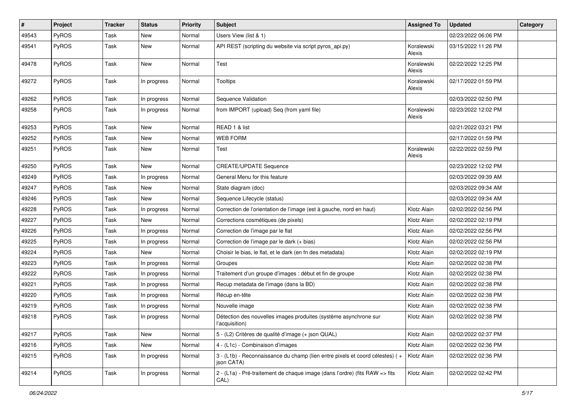| #     | Project | <b>Tracker</b> | <b>Status</b> | <b>Priority</b> | <b>Subject</b>                                                                             | <b>Assigned To</b>   | <b>Updated</b>      | Category |
|-------|---------|----------------|---------------|-----------------|--------------------------------------------------------------------------------------------|----------------------|---------------------|----------|
| 49543 | PyROS   | Task           | New           | Normal          | Users View (list & 1)                                                                      |                      | 02/23/2022 06:06 PM |          |
| 49541 | PyROS   | Task           | <b>New</b>    | Normal          | API REST (scripting du website via script pyros_api.py)                                    | Koralewski<br>Alexis | 03/15/2022 11:26 PM |          |
| 49478 | PyROS   | Task           | New           | Normal          | Test                                                                                       | Koralewski<br>Alexis | 02/22/2022 12:25 PM |          |
| 49272 | PyROS   | Task           | In progress   | Normal          | <b>Tooltips</b>                                                                            | Koralewski<br>Alexis | 02/17/2022 01:59 PM |          |
| 49262 | PyROS   | Task           | In progress   | Normal          | Sequence Validation                                                                        |                      | 02/03/2022 02:50 PM |          |
| 49258 | PyROS   | Task           | In progress   | Normal          | from IMPORT (upload) Seq (from yaml file)                                                  | Koralewski<br>Alexis | 02/23/2022 12:02 PM |          |
| 49253 | PyROS   | Task           | New           | Normal          | READ 1 & list                                                                              |                      | 02/21/2022 03:21 PM |          |
| 49252 | PyROS   | Task           | New           | Normal          | <b>WEB FORM</b>                                                                            |                      | 02/17/2022 01:59 PM |          |
| 49251 | PyROS   | Task           | New           | Normal          | Test                                                                                       | Koralewski<br>Alexis | 02/22/2022 02:59 PM |          |
| 49250 | PyROS   | Task           | New           | Normal          | <b>CREATE/UPDATE Sequence</b>                                                              |                      | 02/23/2022 12:02 PM |          |
| 49249 | PyROS   | Task           | In progress   | Normal          | General Menu for this feature                                                              |                      | 02/03/2022 09:39 AM |          |
| 49247 | PyROS   | Task           | New           | Normal          | State diagram (doc)                                                                        |                      | 02/03/2022 09:34 AM |          |
| 49246 | PyROS   | Task           | New           | Normal          | Sequence Lifecycle (status)                                                                |                      | 02/03/2022 09:34 AM |          |
| 49228 | PyROS   | Task           | In progress   | Normal          | Correction de l'orientation de l'image (est à gauche, nord en haut)                        | Klotz Alain          | 02/02/2022 02:56 PM |          |
| 49227 | PyROS   | Task           | New           | Normal          | Corrections cosmétiques (de pixels)                                                        | Klotz Alain          | 02/02/2022 02:19 PM |          |
| 49226 | PyROS   | Task           | In progress   | Normal          | Correction de l'image par le flat                                                          | Klotz Alain          | 02/02/2022 02:56 PM |          |
| 49225 | PyROS   | Task           | In progress   | Normal          | Correction de l'image par le dark (+ bias)                                                 | Klotz Alain          | 02/02/2022 02:56 PM |          |
| 49224 | PyROS   | Task           | New           | Normal          | Choisir le bias, le flat, et le dark (en fn des metadata)                                  | Klotz Alain          | 02/02/2022 02:19 PM |          |
| 49223 | PyROS   | Task           | In progress   | Normal          | Groupes                                                                                    | Klotz Alain          | 02/02/2022 02:38 PM |          |
| 49222 | PyROS   | Task           | In progress   | Normal          | Traitement d'un groupe d'images : début et fin de groupe                                   | Klotz Alain          | 02/02/2022 02:38 PM |          |
| 49221 | PyROS   | Task           | In progress   | Normal          | Recup metadata de l'image (dans la BD)                                                     | Klotz Alain          | 02/02/2022 02:38 PM |          |
| 49220 | PyROS   | Task           | In progress   | Normal          | Récup en-tête                                                                              | Klotz Alain          | 02/02/2022 02:38 PM |          |
| 49219 | PyROS   | Task           | In progress   | Normal          | Nouvelle image                                                                             | Klotz Alain          | 02/02/2022 02:38 PM |          |
| 49218 | PyROS   | Task           | In progress   | Normal          | Détection des nouvelles images produites (système asynchrone sur<br>l'acquisition)         | Klotz Alain          | 02/02/2022 02:38 PM |          |
| 49217 | PyROS   | Task           | New           | Normal          | 5 - (L2) Critères de qualité d'image (+ json QUAL)                                         | Klotz Alain          | 02/02/2022 02:37 PM |          |
| 49216 | PyROS   | Task           | New           | Normal          | 4 - (L1c) - Combinaison d'images                                                           | Klotz Alain          | 02/02/2022 02:36 PM |          |
| 49215 | PyROS   | Task           | In progress   | Normal          | 3 - (L1b) - Reconnaissance du champ (lien entre pixels et coord célestes) (+<br>ison CATA) | Klotz Alain          | 02/02/2022 02:36 PM |          |
| 49214 | PyROS   | Task           | In progress   | Normal          | 2 - (L1a) - Pré-traitement de chaque image (dans l'ordre) (fits RAW => fits<br>CAL)        | Klotz Alain          | 02/02/2022 02:42 PM |          |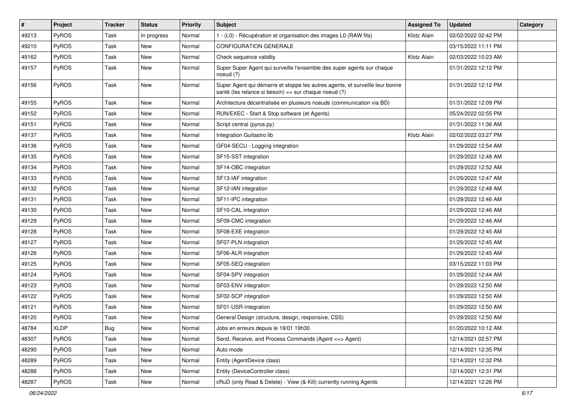| #     | Project      | <b>Tracker</b> | <b>Status</b> | <b>Priority</b> | <b>Subject</b>                                                                                                                        | <b>Assigned To</b> | <b>Updated</b>      | Category |
|-------|--------------|----------------|---------------|-----------------|---------------------------------------------------------------------------------------------------------------------------------------|--------------------|---------------------|----------|
| 49213 | PyROS        | Task           | In progress   | Normal          | 1 - (L0) - Récupération et organisation des images L0 (RAW fits)                                                                      | Klotz Alain        | 02/02/2022 02:42 PM |          |
| 49210 | PyROS        | Task           | <b>New</b>    | Normal          | <b>CONFIGURATION GENERALE</b>                                                                                                         |                    | 03/15/2022 11:11 PM |          |
| 49162 | PyROS        | Task           | New           | Normal          | Check sequence validity                                                                                                               | Klotz Alain        | 02/03/2022 10:23 AM |          |
| 49157 | PyROS        | Task           | New           | Normal          | Super Super Agent qui surveille l'ensemble des super agents sur chaque<br>noeud $(?)$                                                 |                    | 01/31/2022 12:12 PM |          |
| 49156 | PyROS        | Task           | <b>New</b>    | Normal          | Super Agent qui démarre et stoppe les autres agents, et surveille leur bonne<br>santé (les relance si besoin) => sur chaque noeud (?) |                    | 01/31/2022 12:12 PM |          |
| 49155 | PyROS        | Task           | <b>New</b>    | Normal          | Architecture décentralisée en plusieurs noeuds (communication via BD)                                                                 |                    | 01/31/2022 12:09 PM |          |
| 49152 | PyROS        | Task           | New           | Normal          | RUN/EXEC - Start & Stop software (et Agents)                                                                                          |                    | 05/24/2022 02:55 PM |          |
| 49151 | PyROS        | Task           | <b>New</b>    | Normal          | Script central (pyros.py)                                                                                                             |                    | 01/31/2022 11:36 AM |          |
| 49137 | PyROS        | Task           | New           | Normal          | Integration Guitastro lib                                                                                                             | Klotz Alain        | 02/02/2022 03:27 PM |          |
| 49136 | PyROS        | Task           | New           | Normal          | GF04-SECU - Logging integration                                                                                                       |                    | 01/29/2022 12:54 AM |          |
| 49135 | PyROS        | Task           | New           | Normal          | SF15-SST integration                                                                                                                  |                    | 01/29/2022 12:48 AM |          |
| 49134 | PyROS        | Task           | New           | Normal          | SF14-OBC integration                                                                                                                  |                    | 01/29/2022 12:52 AM |          |
| 49133 | PyROS        | Task           | New           | Normal          | SF13-IAF integration                                                                                                                  |                    | 01/29/2022 12:47 AM |          |
| 49132 | PyROS        | Task           | New           | Normal          | SF12-IAN integration                                                                                                                  |                    | 01/29/2022 12:48 AM |          |
| 49131 | PyROS        | Task           | New           | Normal          | SF11-IPC integration                                                                                                                  |                    | 01/29/2022 12:46 AM |          |
| 49130 | PyROS        | Task           | New           | Normal          | SF10-CAL integration                                                                                                                  |                    | 01/29/2022 12:46 AM |          |
| 49129 | <b>PyROS</b> | Task           | New           | Normal          | SF09-CMC integration                                                                                                                  |                    | 01/29/2022 12:46 AM |          |
| 49128 | PyROS        | Task           | New           | Normal          | SF08-EXE integration                                                                                                                  |                    | 01/29/2022 12:45 AM |          |
| 49127 | PyROS        | Task           | New           | Normal          | SF07-PLN integration                                                                                                                  |                    | 01/29/2022 12:45 AM |          |
| 49126 | PyROS        | Task           | New           | Normal          | SF06-ALR integration                                                                                                                  |                    | 01/29/2022 12:45 AM |          |
| 49125 | PyROS        | Task           | New           | Normal          | SF05-SEQ integration                                                                                                                  |                    | 03/15/2022 11:03 PM |          |
| 49124 | PyROS        | Task           | New           | Normal          | SF04-SPV integration                                                                                                                  |                    | 01/29/2022 12:44 AM |          |
| 49123 | PyROS        | Task           | New           | Normal          | SF03-ENV integration                                                                                                                  |                    | 01/29/2022 12:50 AM |          |
| 49122 | PyROS        | Task           | <b>New</b>    | Normal          | SF02-SCP integration                                                                                                                  |                    | 01/29/2022 12:50 AM |          |
| 49121 | PyROS        | Task           | New           | Normal          | SF01-USR integration                                                                                                                  |                    | 01/29/2022 12:50 AM |          |
| 49120 | PyROS        | Task           | New           | Normal          | General Design (structure, design, responsive, CSS)                                                                                   |                    | 01/29/2022 12:50 AM |          |
| 48784 | <b>XLDP</b>  | <b>Bug</b>     | New           | Normal          | Jobs en erreurs depuis le 19/01 19h30                                                                                                 |                    | 01/20/2022 10:12 AM |          |
| 48307 | PyROS        | Task           | New           | Normal          | Send, Receive, and Process Commands (Agent <= > Agent)                                                                                |                    | 12/14/2021 02:57 PM |          |
| 48290 | PyROS        | Task           | New           | Normal          | Auto mode                                                                                                                             |                    | 12/14/2021 12:35 PM |          |
| 48289 | PyROS        | Task           | New           | Normal          | Entity (AgentDevice class)                                                                                                            |                    | 12/14/2021 12:32 PM |          |
| 48288 | PyROS        | Task           | New           | Normal          | Entity (DeviceController class)                                                                                                       |                    | 12/14/2021 12:31 PM |          |
| 48287 | PyROS        | Task           | New           | Normal          | cRuD (only Read & Delete) - View (& Kill) currently running Agents                                                                    |                    | 12/14/2021 12:26 PM |          |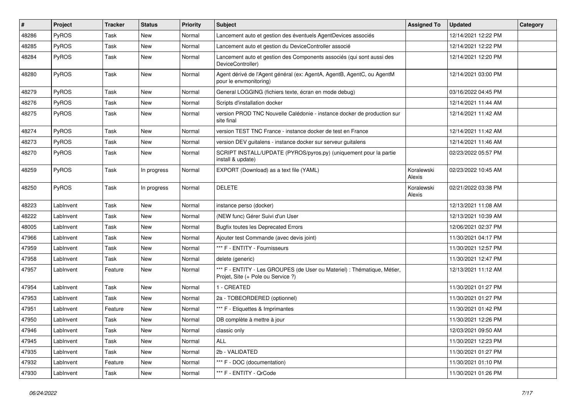| #     | Project   | <b>Tracker</b> | <b>Status</b> | <b>Priority</b> | Subject                                                                                                        | <b>Assigned To</b>   | <b>Updated</b>      | Category |
|-------|-----------|----------------|---------------|-----------------|----------------------------------------------------------------------------------------------------------------|----------------------|---------------------|----------|
| 48286 | PyROS     | Task           | New           | Normal          | Lancement auto et gestion des éventuels AgentDevices associés                                                  |                      | 12/14/2021 12:22 PM |          |
| 48285 | PyROS     | Task           | New           | Normal          | Lancement auto et gestion du DeviceController associé                                                          |                      | 12/14/2021 12:22 PM |          |
| 48284 | PyROS     | Task           | New           | Normal          | Lancement auto et gestion des Components associés (qui sont aussi des<br>DeviceController)                     |                      | 12/14/2021 12:20 PM |          |
| 48280 | PyROS     | Task           | New           | Normal          | Agent dérivé de l'Agent général (ex: AgentA, AgentB, AgentC, ou AgentM<br>pour le envmonitoring)               |                      | 12/14/2021 03:00 PM |          |
| 48279 | PyROS     | Task           | <b>New</b>    | Normal          | General LOGGING (fichiers texte, écran en mode debug)                                                          |                      | 03/16/2022 04:45 PM |          |
| 48276 | PyROS     | Task           | New           | Normal          | Scripts d'installation docker                                                                                  |                      | 12/14/2021 11:44 AM |          |
| 48275 | PyROS     | Task           | New           | Normal          | version PROD TNC Nouvelle Calédonie - instance docker de production sur<br>site final                          |                      | 12/14/2021 11:42 AM |          |
| 48274 | PyROS     | Task           | <b>New</b>    | Normal          | version TEST TNC France - instance docker de test en France                                                    |                      | 12/14/2021 11:42 AM |          |
| 48273 | PyROS     | Task           | New           | Normal          | version DEV guitalens - instance docker sur serveur guitalens                                                  |                      | 12/14/2021 11:46 AM |          |
| 48270 | PyROS     | <b>Task</b>    | New           | Normal          | SCRIPT INSTALL/UPDATE (PYROS/pyros.py) (uniquement pour la partie<br>install & update)                         |                      | 02/23/2022 05:57 PM |          |
| 48259 | PyROS     | Task           | In progress   | Normal          | EXPORT (Download) as a text file (YAML)                                                                        | Koralewski<br>Alexis | 02/23/2022 10:45 AM |          |
| 48250 | PyROS     | Task           | In progress   | Normal          | <b>DELETE</b>                                                                                                  | Koralewski<br>Alexis | 02/21/2022 03:38 PM |          |
| 48223 | LabInvent | Task           | New           | Normal          | instance perso (docker)                                                                                        |                      | 12/13/2021 11:08 AM |          |
| 48222 | LabInvent | Task           | New           | Normal          | (NEW func) Gérer Suivi d'un User                                                                               |                      | 12/13/2021 10:39 AM |          |
| 48005 | LabInvent | Task           | New           | Normal          | <b>Bugfix toutes les Deprecated Errors</b>                                                                     |                      | 12/06/2021 02:37 PM |          |
| 47966 | LabInvent | Task           | <b>New</b>    | Normal          | Ajouter test Commande (avec devis joint)                                                                       |                      | 11/30/2021 04:17 PM |          |
| 47959 | LabInvent | Task           | New           | Normal          | *** F - ENTITY - Fournisseurs                                                                                  |                      | 11/30/2021 12:57 PM |          |
| 47958 | LabInvent | Task           | New           | Normal          | delete (generic)                                                                                               |                      | 11/30/2021 12:47 PM |          |
| 47957 | LabInvent | Feature        | New           | Normal          | *** F - ENTITY - Les GROUPES (de User ou Materiel) : Thématique, Métier,<br>Projet, Site (+ Pole ou Service ?) |                      | 12/13/2021 11:12 AM |          |
| 47954 | LabInvent | Task           | New           | Normal          | 1 - CREATED                                                                                                    |                      | 11/30/2021 01:27 PM |          |
| 47953 | LabInvent | Task           | New           | Normal          | 2a - TOBEORDERED (optionnel)                                                                                   |                      | 11/30/2021 01:27 PM |          |
| 47951 | LabInvent | Feature        | New           | Normal          | *** F - Etiquettes & Imprimantes                                                                               |                      | 11/30/2021 01:42 PM |          |
| 47950 | LabInvent | Task           | New           | Normal          | DB complète à mettre à jour                                                                                    |                      | 11/30/2021 12:26 PM |          |
| 47946 | LabInvent | Task           | New           | Normal          | classic only                                                                                                   |                      | 12/03/2021 09:50 AM |          |
| 47945 | LabInvent | Task           | New           | Normal          | <b>ALL</b>                                                                                                     |                      | 11/30/2021 12:23 PM |          |
| 47935 | LabInvent | Task           | New           | Normal          | 2b - VALIDATED                                                                                                 |                      | 11/30/2021 01:27 PM |          |
| 47932 | LabInvent | Feature        | New           | Normal          | *** F - DOC (documentation)                                                                                    |                      | 11/30/2021 01:10 PM |          |
| 47930 | LabInvent | Task           | New           | Normal          | *** F - ENTITY - QrCode                                                                                        |                      | 11/30/2021 01:26 PM |          |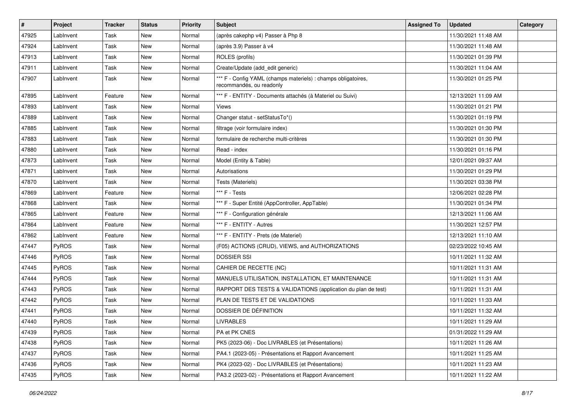| $\pmb{\#}$ | <b>Project</b> | <b>Tracker</b> | <b>Status</b> | <b>Priority</b> | Subject                                                                                   | <b>Assigned To</b> | <b>Updated</b>      | Category |
|------------|----------------|----------------|---------------|-----------------|-------------------------------------------------------------------------------------------|--------------------|---------------------|----------|
| 47925      | LabInvent      | Task           | New           | Normal          | (après cakephp v4) Passer à Php 8                                                         |                    | 11/30/2021 11:48 AM |          |
| 47924      | LabInvent      | Task           | New           | Normal          | (après 3.9) Passer à v4                                                                   |                    | 11/30/2021 11:48 AM |          |
| 47913      | LabInvent      | Task           | New           | Normal          | ROLES (profils)                                                                           |                    | 11/30/2021 01:39 PM |          |
| 47911      | LabInvent      | Task           | New           | Normal          | Create/Update (add_edit generic)                                                          |                    | 11/30/2021 11:04 AM |          |
| 47907      | LabInvent      | Task           | New           | Normal          | *** F - Config YAML (champs materiels) : champs obligatoires,<br>recommandés, ou readonly |                    | 11/30/2021 01:25 PM |          |
| 47895      | LabInvent      | Feature        | <b>New</b>    | Normal          | *** F - ENTITY - Documents attachés (à Materiel ou Suivi)                                 |                    | 12/13/2021 11:09 AM |          |
| 47893      | LabInvent      | Task           | New           | Normal          | Views                                                                                     |                    | 11/30/2021 01:21 PM |          |
| 47889      | LabInvent      | Task           | New           | Normal          | Changer statut - setStatusTo*()                                                           |                    | 11/30/2021 01:19 PM |          |
| 47885      | LabInvent      | Task           | New           | Normal          | filtrage (voir formulaire index)                                                          |                    | 11/30/2021 01:30 PM |          |
| 47883      | LabInvent      | Task           | New           | Normal          | formulaire de recherche multi-critères                                                    |                    | 11/30/2021 01:30 PM |          |
| 47880      | LabInvent      | Task           | New           | Normal          | Read - index                                                                              |                    | 11/30/2021 01:16 PM |          |
| 47873      | LabInvent      | Task           | New           | Normal          | Model (Entity & Table)                                                                    |                    | 12/01/2021 09:37 AM |          |
| 47871      | LabInvent      | Task           | New           | Normal          | Autorisations                                                                             |                    | 11/30/2021 01:29 PM |          |
| 47870      | LabInvent      | Task           | New           | Normal          | Tests (Materiels)                                                                         |                    | 11/30/2021 03:38 PM |          |
| 47869      | LabInvent      | Feature        | New           | Normal          | *** F - Tests                                                                             |                    | 12/06/2021 02:28 PM |          |
| 47868      | LabInvent      | Task           | New           | Normal          | *** F - Super Entité (AppController, AppTable)                                            |                    | 11/30/2021 01:34 PM |          |
| 47865      | LabInvent      | Feature        | New           | Normal          | *** F - Configuration générale                                                            |                    | 12/13/2021 11:06 AM |          |
| 47864      | LabInvent      | Feature        | New           | Normal          | *** F - ENTITY - Autres                                                                   |                    | 11/30/2021 12:57 PM |          |
| 47862      | LabInvent      | Feature        | New           | Normal          | *** F - ENTITY - Prets (de Materiel)                                                      |                    | 12/13/2021 11:10 AM |          |
| 47447      | PyROS          | Task           | New           | Normal          | (F05) ACTIONS (CRUD), VIEWS, and AUTHORIZATIONS                                           |                    | 02/23/2022 10:45 AM |          |
| 47446      | PyROS          | Task           | New           | Normal          | <b>DOSSIER SSI</b>                                                                        |                    | 10/11/2021 11:32 AM |          |
| 47445      | PyROS          | Task           | New           | Normal          | CAHIER DE RECETTE (NC)                                                                    |                    | 10/11/2021 11:31 AM |          |
| 47444      | PyROS          | Task           | New           | Normal          | MANUELS UTILISATION, INSTALLATION, ET MAINTENANCE                                         |                    | 10/11/2021 11:31 AM |          |
| 47443      | PyROS          | Task           | <b>New</b>    | Normal          | RAPPORT DES TESTS & VALIDATIONS (application du plan de test)                             |                    | 10/11/2021 11:31 AM |          |
| 47442      | PyROS          | Task           | New           | Normal          | PLAN DE TESTS ET DE VALIDATIONS                                                           |                    | 10/11/2021 11:33 AM |          |
| 47441      | PyROS          | Task           | New           | Normal          | DOSSIER DE DÉFINITION                                                                     |                    | 10/11/2021 11:32 AM |          |
| 47440      | PyROS          | Task           | New           | Normal          | <b>LIVRABLES</b>                                                                          |                    | 10/11/2021 11:29 AM |          |
| 47439      | PyROS          | Task           | New           | Normal          | PA et PK CNES                                                                             |                    | 01/31/2022 11:29 AM |          |
| 47438      | PyROS          | Task           | New           | Normal          | PK5 (2023-06) - Doc LIVRABLES (et Présentations)                                          |                    | 10/11/2021 11:26 AM |          |
| 47437      | PyROS          | Task           | New           | Normal          | PA4.1 (2023-05) - Présentations et Rapport Avancement                                     |                    | 10/11/2021 11:25 AM |          |
| 47436      | PyROS          | Task           | New           | Normal          | PK4 (2023-02) - Doc LIVRABLES (et Présentations)                                          |                    | 10/11/2021 11:23 AM |          |
| 47435      | PyROS          | Task           | New           | Normal          | PA3.2 (2023-02) - Présentations et Rapport Avancement                                     |                    | 10/11/2021 11:22 AM |          |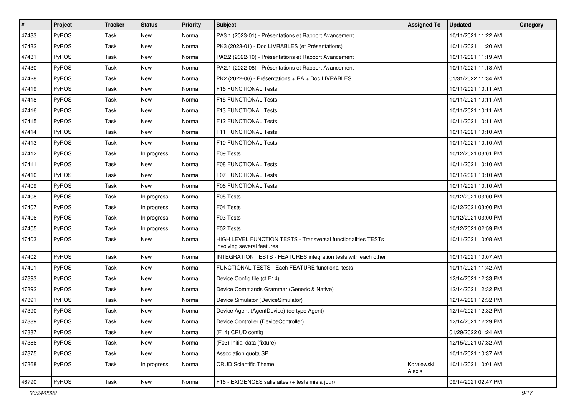| #     | Project      | <b>Tracker</b> | <b>Status</b> | <b>Priority</b> | <b>Subject</b>                                                                              | <b>Assigned To</b>   | <b>Updated</b>      | Category |
|-------|--------------|----------------|---------------|-----------------|---------------------------------------------------------------------------------------------|----------------------|---------------------|----------|
| 47433 | PyROS        | Task           | New           | Normal          | PA3.1 (2023-01) - Présentations et Rapport Avancement                                       |                      | 10/11/2021 11:22 AM |          |
| 47432 | PyROS        | <b>Task</b>    | New           | Normal          | PK3 (2023-01) - Doc LIVRABLES (et Présentations)                                            |                      | 10/11/2021 11:20 AM |          |
| 47431 | PyROS        | Task           | New           | Normal          | PA2.2 (2022-10) - Présentations et Rapport Avancement                                       |                      | 10/11/2021 11:19 AM |          |
| 47430 | PyROS        | Task           | New           | Normal          | PA2.1 (2022-08) - Présentations et Rapport Avancement                                       |                      | 10/11/2021 11:18 AM |          |
| 47428 | PyROS        | Task           | New           | Normal          | PK2 (2022-06) - Présentations + RA + Doc LIVRABLES                                          |                      | 01/31/2022 11:34 AM |          |
| 47419 | <b>PyROS</b> | Task           | New           | Normal          | F16 FUNCTIONAL Tests                                                                        |                      | 10/11/2021 10:11 AM |          |
| 47418 | PyROS        | <b>Task</b>    | New           | Normal          | F15 FUNCTIONAL Tests                                                                        |                      | 10/11/2021 10:11 AM |          |
| 47416 | PyROS        | Task           | New           | Normal          | F13 FUNCTIONAL Tests                                                                        |                      | 10/11/2021 10:11 AM |          |
| 47415 | PyROS        | Task           | New           | Normal          | F12 FUNCTIONAL Tests                                                                        |                      | 10/11/2021 10:11 AM |          |
| 47414 | PyROS        | Task           | New           | Normal          | F11 FUNCTIONAL Tests                                                                        |                      | 10/11/2021 10:10 AM |          |
| 47413 | PyROS        | Task           | New           | Normal          | <b>F10 FUNCTIONAL Tests</b>                                                                 |                      | 10/11/2021 10:10 AM |          |
| 47412 | PyROS        | Task           | In progress   | Normal          | F09 Tests                                                                                   |                      | 10/12/2021 03:01 PM |          |
| 47411 | PyROS        | Task           | New           | Normal          | F08 FUNCTIONAL Tests                                                                        |                      | 10/11/2021 10:10 AM |          |
| 47410 | PyROS        | Task           | New           | Normal          | <b>F07 FUNCTIONAL Tests</b>                                                                 |                      | 10/11/2021 10:10 AM |          |
| 47409 | PyROS        | <b>Task</b>    | <b>New</b>    | Normal          | F06 FUNCTIONAL Tests                                                                        |                      | 10/11/2021 10:10 AM |          |
| 47408 | PyROS        | Task           | In progress   | Normal          | F05 Tests                                                                                   |                      | 10/12/2021 03:00 PM |          |
| 47407 | PyROS        | Task           | In progress   | Normal          | F04 Tests                                                                                   |                      | 10/12/2021 03:00 PM |          |
| 47406 | PyROS        | Task           | In progress   | Normal          | F03 Tests                                                                                   |                      | 10/12/2021 03:00 PM |          |
| 47405 | PyROS        | Task           | In progress   | Normal          | F02 Tests                                                                                   |                      | 10/12/2021 02:59 PM |          |
| 47403 | PyROS        | Task           | New           | Normal          | HIGH LEVEL FUNCTION TESTS - Transversal functionalities TESTs<br>involving several features |                      | 10/11/2021 10:08 AM |          |
| 47402 | PyROS        | Task           | New           | Normal          | INTEGRATION TESTS - FEATURES integration tests with each other                              |                      | 10/11/2021 10:07 AM |          |
| 47401 | PyROS        | Task           | New           | Normal          | FUNCTIONAL TESTS - Each FEATURE functional tests                                            |                      | 10/11/2021 11:42 AM |          |
| 47393 | PyROS        | Task           | New           | Normal          | Device Config file (cf F14)                                                                 |                      | 12/14/2021 12:33 PM |          |
| 47392 | PyROS        | Task           | New           | Normal          | Device Commands Grammar (Generic & Native)                                                  |                      | 12/14/2021 12:32 PM |          |
| 47391 | PyROS        | Task           | New           | Normal          | Device Simulator (DeviceSimulator)                                                          |                      | 12/14/2021 12:32 PM |          |
| 47390 | PyROS        | Task           | New           | Normal          | Device Agent (AgentDevice) (de type Agent)                                                  |                      | 12/14/2021 12:32 PM |          |
| 47389 | PyROS        | <b>Task</b>    | New           | Normal          | Device Controller (DeviceController)                                                        |                      | 12/14/2021 12:29 PM |          |
| 47387 | PyROS        | Task           | New           | Normal          | (F14) CRUD config                                                                           |                      | 01/29/2022 01:24 AM |          |
| 47386 | PyROS        | Task           | New           | Normal          | (F03) Initial data (fixture)                                                                |                      | 12/15/2021 07:32 AM |          |
| 47375 | PyROS        | Task           | New           | Normal          | Association quota SP                                                                        |                      | 10/11/2021 10:37 AM |          |
| 47368 | PyROS        | Task           | In progress   | Normal          | <b>CRUD Scientific Theme</b>                                                                | Koralewski<br>Alexis | 10/11/2021 10:01 AM |          |
| 46790 | PyROS        | Task           | New           | Normal          | F16 - EXIGENCES satisfaites (+ tests mis à jour)                                            |                      | 09/14/2021 02:47 PM |          |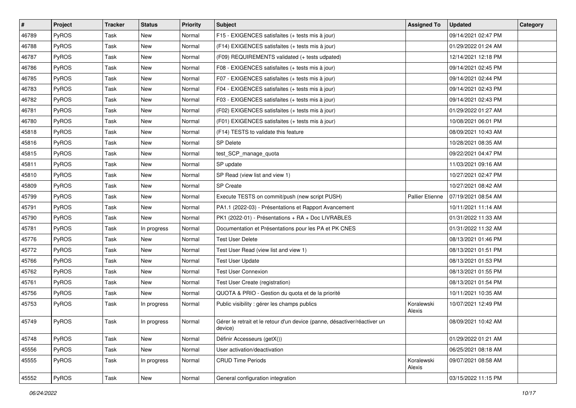| $\vert$ # | Project | <b>Tracker</b> | <b>Status</b> | <b>Priority</b> | <b>Subject</b>                                                                       | <b>Assigned To</b>     | <b>Updated</b>      | Category |
|-----------|---------|----------------|---------------|-----------------|--------------------------------------------------------------------------------------|------------------------|---------------------|----------|
| 46789     | PyROS   | Task           | New           | Normal          | F15 - EXIGENCES satisfaites (+ tests mis à jour)                                     |                        | 09/14/2021 02:47 PM |          |
| 46788     | PyROS   | Task           | New           | Normal          | (F14) EXIGENCES satisfaites (+ tests mis à jour)                                     |                        | 01/29/2022 01:24 AM |          |
| 46787     | PyROS   | Task           | New           | Normal          | (F09) REQUIREMENTS validated (+ tests udpated)                                       |                        | 12/14/2021 12:18 PM |          |
| 46786     | PyROS   | Task           | New           | Normal          | F08 - EXIGENCES satisfaites (+ tests mis à jour)                                     |                        | 09/14/2021 02:45 PM |          |
| 46785     | PyROS   | Task           | New           | Normal          | F07 - EXIGENCES satisfaites (+ tests mis à jour)                                     |                        | 09/14/2021 02:44 PM |          |
| 46783     | PyROS   | Task           | New           | Normal          | F04 - EXIGENCES satisfaites (+ tests mis à jour)                                     |                        | 09/14/2021 02:43 PM |          |
| 46782     | PyROS   | Task           | <b>New</b>    | Normal          | F03 - EXIGENCES satisfaites (+ tests mis à jour)                                     |                        | 09/14/2021 02:43 PM |          |
| 46781     | PyROS   | Task           | New           | Normal          | (F02) EXIGENCES satisfaites (+ tests mis à jour)                                     |                        | 01/29/2022 01:27 AM |          |
| 46780     | PyROS   | Task           | New           | Normal          | (F01) EXIGENCES satisfaites (+ tests mis à jour)                                     |                        | 10/08/2021 06:01 PM |          |
| 45818     | PyROS   | Task           | New           | Normal          | (F14) TESTS to validate this feature                                                 |                        | 08/09/2021 10:43 AM |          |
| 45816     | PyROS   | Task           | New           | Normal          | <b>SP Delete</b>                                                                     |                        | 10/28/2021 08:35 AM |          |
| 45815     | PyROS   | Task           | New           | Normal          | test_SCP_manage_quota                                                                |                        | 09/22/2021 04:47 PM |          |
| 45811     | PyROS   | Task           | New           | Normal          | SP update                                                                            |                        | 11/03/2021 09:16 AM |          |
| 45810     | PyROS   | Task           | New           | Normal          | SP Read (view list and view 1)                                                       |                        | 10/27/2021 02:47 PM |          |
| 45809     | PyROS   | Task           | New           | Normal          | SP Create                                                                            |                        | 10/27/2021 08:42 AM |          |
| 45799     | PyROS   | Task           | New           | Normal          | Execute TESTS on commit/push (new script PUSH)                                       | <b>Pallier Etienne</b> | 07/19/2021 08:54 AM |          |
| 45791     | PyROS   | Task           | New           | Normal          | PA1.1 (2022-03) - Présentations et Rapport Avancement                                |                        | 10/11/2021 11:14 AM |          |
| 45790     | PyROS   | Task           | New           | Normal          | PK1 (2022-01) - Présentations + RA + Doc LIVRABLES                                   |                        | 01/31/2022 11:33 AM |          |
| 45781     | PyROS   | Task           | In progress   | Normal          | Documentation et Présentations pour les PA et PK CNES                                |                        | 01/31/2022 11:32 AM |          |
| 45776     | PyROS   | Task           | New           | Normal          | <b>Test User Delete</b>                                                              |                        | 08/13/2021 01:46 PM |          |
| 45772     | PyROS   | Task           | New           | Normal          | Test User Read (view list and view 1)                                                |                        | 08/13/2021 01:51 PM |          |
| 45766     | PyROS   | Task           | New           | Normal          | <b>Test User Update</b>                                                              |                        | 08/13/2021 01:53 PM |          |
| 45762     | PyROS   | Task           | New           | Normal          | <b>Test User Connexion</b>                                                           |                        | 08/13/2021 01:55 PM |          |
| 45761     | PyROS   | Task           | New           | Normal          | Test User Create (registration)                                                      |                        | 08/13/2021 01:54 PM |          |
| 45756     | PyROS   | Task           | <b>New</b>    | Normal          | QUOTA & PRIO - Gestion du quota et de la priorité                                    |                        | 10/11/2021 10:35 AM |          |
| 45753     | PyROS   | Task           | In progress   | Normal          | Public visibility : gérer les champs publics                                         | Koralewski<br>Alexis   | 10/07/2021 12:49 PM |          |
| 45749     | PyROS   | Task           | In progress   | Normal          | Gérer le retrait et le retour d'un device (panne, désactiver/réactiver un<br>device) |                        | 08/09/2021 10:42 AM |          |
| 45748     | PyROS   | Task           | New           | Normal          | Définir Accesseurs (getX())                                                          |                        | 01/29/2022 01:21 AM |          |
| 45556     | PyROS   | Task           | New           | Normal          | User activation/deactivation                                                         |                        | 06/25/2021 08:18 AM |          |
| 45555     | PyROS   | Task           | In progress   | Normal          | <b>CRUD Time Periods</b>                                                             | Koralewski<br>Alexis   | 09/07/2021 08:58 AM |          |
| 45552     | PyROS   | Task           | New           | Normal          | General configuration integration                                                    |                        | 03/15/2022 11:15 PM |          |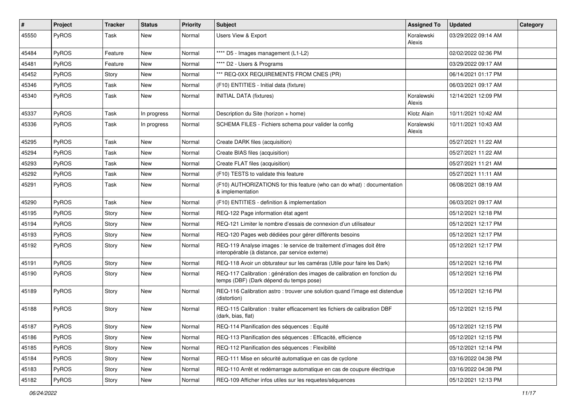| $\vert$ # | Project | <b>Tracker</b> | <b>Status</b> | <b>Priority</b> | <b>Subject</b>                                                                                                          | <b>Assigned To</b>   | <b>Updated</b>      | Category |
|-----------|---------|----------------|---------------|-----------------|-------------------------------------------------------------------------------------------------------------------------|----------------------|---------------------|----------|
| 45550     | PyROS   | Task           | New           | Normal          | Users View & Export                                                                                                     | Koralewski<br>Alexis | 03/29/2022 09:14 AM |          |
| 45484     | PyROS   | Feature        | New           | Normal          | **** D5 - Images management (L1-L2)                                                                                     |                      | 02/02/2022 02:36 PM |          |
| 45481     | PyROS   | Feature        | New           | Normal          | **** D2 - Users & Programs                                                                                              |                      | 03/29/2022 09:17 AM |          |
| 45452     | PyROS   | Story          | New           | Normal          | *** REQ-0XX REQUIREMENTS FROM CNES (PR)                                                                                 |                      | 06/14/2021 01:17 PM |          |
| 45346     | PyROS   | Task           | New           | Normal          | (F10) ENTITIES - Initial data (fixture)                                                                                 |                      | 06/03/2021 09:17 AM |          |
| 45340     | PyROS   | Task           | New           | Normal          | <b>INITIAL DATA (fixtures)</b>                                                                                          | Koralewski<br>Alexis | 12/14/2021 12:09 PM |          |
| 45337     | PyROS   | Task           | In progress   | Normal          | Description du Site (horizon + home)                                                                                    | Klotz Alain          | 10/11/2021 10:42 AM |          |
| 45336     | PyROS   | Task           | In progress   | Normal          | SCHEMA FILES - Fichiers schema pour valider la config                                                                   | Koralewski<br>Alexis | 10/11/2021 10:43 AM |          |
| 45295     | PyROS   | Task           | New           | Normal          | Create DARK files (acquisition)                                                                                         |                      | 05/27/2021 11:22 AM |          |
| 45294     | PyROS   | Task           | New           | Normal          | Create BIAS files (acquisition)                                                                                         |                      | 05/27/2021 11:22 AM |          |
| 45293     | PyROS   | Task           | New           | Normal          | Create FLAT files (acquisition)                                                                                         |                      | 05/27/2021 11:21 AM |          |
| 45292     | PyROS   | Task           | New           | Normal          | (F10) TESTS to validate this feature                                                                                    |                      | 05/27/2021 11:11 AM |          |
| 45291     | PyROS   | Task           | New           | Normal          | (F10) AUTHORIZATIONS for this feature (who can do what) : documentation<br>& implementation                             |                      | 06/08/2021 08:19 AM |          |
| 45290     | PyROS   | Task           | <b>New</b>    | Normal          | (F10) ENTITIES - definition & implementation                                                                            |                      | 06/03/2021 09:17 AM |          |
| 45195     | PyROS   | Story          | New           | Normal          | REQ-122 Page information état agent                                                                                     |                      | 05/12/2021 12:18 PM |          |
| 45194     | PyROS   | Story          | New           | Normal          | REQ-121 Limiter le nombre d'essais de connexion d'un utilisateur                                                        |                      | 05/12/2021 12:17 PM |          |
| 45193     | PyROS   | Story          | New           | Normal          | REQ-120 Pages web dédiées pour gérer différents besoins                                                                 |                      | 05/12/2021 12:17 PM |          |
| 45192     | PyROS   | Story          | New           | Normal          | REQ-119 Analyse images : le service de traitement d'images doit être<br>interopérable (à distance, par service externe) |                      | 05/12/2021 12:17 PM |          |
| 45191     | PyROS   | Story          | New           | Normal          | REQ-118 Avoir un obturateur sur les caméras (Utile pour faire les Dark)                                                 |                      | 05/12/2021 12:16 PM |          |
| 45190     | PyROS   | Story          | New           | Normal          | REQ-117 Calibration : génération des images de calibration en fonction du<br>temps (DBF) (Dark dépend du temps pose)    |                      | 05/12/2021 12:16 PM |          |
| 45189     | PyROS   | Story          | New           | Normal          | REQ-116 Calibration astro: trouver une solution quand l'image est distendue<br>(distortion)                             |                      | 05/12/2021 12:16 PM |          |
| 45188     | PyROS   | Story          | New           | Normal          | REQ-115 Calibration : traiter efficacement les fichiers de calibration DBF<br>(dark, bias, flat)                        |                      | 05/12/2021 12:15 PM |          |
| 45187     | PyROS   | Story          | New           | Normal          | REQ-114 Planification des séquences : Equité                                                                            |                      | 05/12/2021 12:15 PM |          |
| 45186     | PyROS   | Story          | New           | Normal          | REQ-113 Planification des séquences : Efficacité, efficience                                                            |                      | 05/12/2021 12:15 PM |          |
| 45185     | PyROS   | Story          | New           | Normal          | REQ-112 Planification des séquences : Flexibilité                                                                       |                      | 05/12/2021 12:14 PM |          |
| 45184     | PyROS   | Story          | New           | Normal          | REQ-111 Mise en sécurité automatique en cas de cyclone                                                                  |                      | 03/16/2022 04:38 PM |          |
| 45183     | PyROS   | Story          | New           | Normal          | REQ-110 Arrêt et redémarrage automatique en cas de coupure électrique                                                   |                      | 03/16/2022 04:38 PM |          |
| 45182     | PyROS   | Story          | New           | Normal          | REQ-109 Afficher infos utiles sur les requetes/séquences                                                                |                      | 05/12/2021 12:13 PM |          |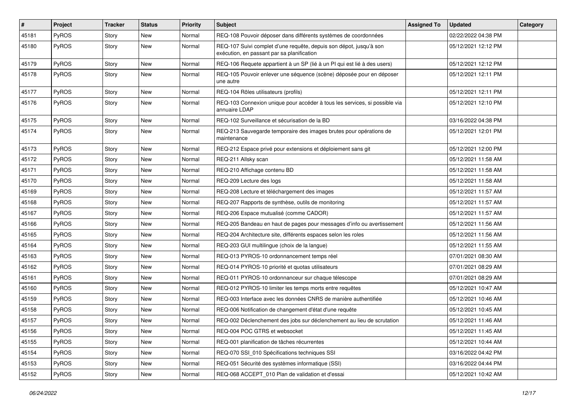| $\vert$ # | Project      | <b>Tracker</b> | <b>Status</b> | <b>Priority</b> | <b>Subject</b>                                                                                                   | <b>Assigned To</b> | <b>Updated</b>      | Category |
|-----------|--------------|----------------|---------------|-----------------|------------------------------------------------------------------------------------------------------------------|--------------------|---------------------|----------|
| 45181     | PyROS        | Story          | New           | Normal          | REQ-108 Pouvoir déposer dans différents systèmes de coordonnées                                                  |                    | 02/22/2022 04:38 PM |          |
| 45180     | PyROS        | Story          | New           | Normal          | REQ-107 Suivi complet d'une requête, depuis son dépot, jusqu'à son<br>exécution, en passant par sa planification |                    | 05/12/2021 12:12 PM |          |
| 45179     | PyROS        | Story          | New           | Normal          | REQ-106 Requete appartient à un SP (lié à un PI qui est lié à des users)                                         |                    | 05/12/2021 12:12 PM |          |
| 45178     | PyROS        | Story          | New           | Normal          | REQ-105 Pouvoir enlever une séquence (scène) déposée pour en déposer<br>une autre                                |                    | 05/12/2021 12:11 PM |          |
| 45177     | PyROS        | Story          | New           | Normal          | REQ-104 Rôles utilisateurs (profils)                                                                             |                    | 05/12/2021 12:11 PM |          |
| 45176     | PyROS        | Story          | New           | Normal          | REQ-103 Connexion unique pour accéder à tous les services, si possible via<br>annuaire LDAP                      |                    | 05/12/2021 12:10 PM |          |
| 45175     | PyROS        | Story          | <b>New</b>    | Normal          | REQ-102 Surveillance et sécurisation de la BD                                                                    |                    | 03/16/2022 04:38 PM |          |
| 45174     | PyROS        | Story          | New           | Normal          | REQ-213 Sauvegarde temporaire des images brutes pour opérations de<br>maintenance                                |                    | 05/12/2021 12:01 PM |          |
| 45173     | PyROS        | Story          | New           | Normal          | REQ-212 Espace privé pour extensions et déploiement sans git                                                     |                    | 05/12/2021 12:00 PM |          |
| 45172     | <b>PyROS</b> | Story          | New           | Normal          | REQ-211 Allsky scan                                                                                              |                    | 05/12/2021 11:58 AM |          |
| 45171     | PyROS        | Story          | New           | Normal          | REQ-210 Affichage contenu BD                                                                                     |                    | 05/12/2021 11:58 AM |          |
| 45170     | PyROS        | Story          | New           | Normal          | REQ-209 Lecture des logs                                                                                         |                    | 05/12/2021 11:58 AM |          |
| 45169     | PyROS        | Story          | New           | Normal          | REQ-208 Lecture et téléchargement des images                                                                     |                    | 05/12/2021 11:57 AM |          |
| 45168     | PyROS        | Story          | New           | Normal          | REQ-207 Rapports de synthèse, outils de monitoring                                                               |                    | 05/12/2021 11:57 AM |          |
| 45167     | PyROS        | Story          | New           | Normal          | REQ-206 Espace mutualisé (comme CADOR)                                                                           |                    | 05/12/2021 11:57 AM |          |
| 45166     | PyROS        | Story          | New           | Normal          | REQ-205 Bandeau en haut de pages pour messages d'info ou avertissement                                           |                    | 05/12/2021 11:56 AM |          |
| 45165     | PyROS        | Story          | New           | Normal          | REQ-204 Architecture site, différents espaces selon les roles                                                    |                    | 05/12/2021 11:56 AM |          |
| 45164     | PyROS        | Story          | New           | Normal          | REQ-203 GUI multilingue (choix de la langue)                                                                     |                    | 05/12/2021 11:55 AM |          |
| 45163     | PyROS        | Story          | <b>New</b>    | Normal          | REQ-013 PYROS-10 ordonnancement temps réel                                                                       |                    | 07/01/2021 08:30 AM |          |
| 45162     | PyROS        | Story          | New           | Normal          | REQ-014 PYROS-10 priorité et quotas utilisateurs                                                                 |                    | 07/01/2021 08:29 AM |          |
| 45161     | PyROS        | Story          | New           | Normal          | REQ-011 PYROS-10 ordonnanceur sur chaque télescope                                                               |                    | 07/01/2021 08:29 AM |          |
| 45160     | PyROS        | Story          | New           | Normal          | REQ-012 PYROS-10 limiter les temps morts entre requêtes                                                          |                    | 05/12/2021 10:47 AM |          |
| 45159     | PyROS        | Story          | New           | Normal          | REQ-003 Interface avec les données CNRS de manière authentifiée                                                  |                    | 05/12/2021 10:46 AM |          |
| 45158     | PyROS        | Story          | New           | Normal          | REQ-006 Notification de changement d'état d'une requête                                                          |                    | 05/12/2021 10:45 AM |          |
| 45157     | PyROS        | Story          | New           | Normal          | REQ-002 Déclenchement des jobs sur déclenchement au lieu de scrutation                                           |                    | 05/12/2021 11:46 AM |          |
| 45156     | PyROS        | Story          | New           | Normal          | REQ-004 POC GTRS et websocket                                                                                    |                    | 05/12/2021 11:45 AM |          |
| 45155     | PyROS        | Story          | New           | Normal          | REQ-001 planification de tâches récurrentes                                                                      |                    | 05/12/2021 10:44 AM |          |
| 45154     | PyROS        | Story          | New           | Normal          | REQ-070 SSI_010 Spécifications techniques SSI                                                                    |                    | 03/16/2022 04:42 PM |          |
| 45153     | PyROS        | Story          | New           | Normal          | REQ-051 Sécurité des systèmes informatique (SSI)                                                                 |                    | 03/16/2022 04:44 PM |          |
| 45152     | PyROS        | Story          | New           | Normal          | REQ-068 ACCEPT_010 Plan de validation et d'essai                                                                 |                    | 05/12/2021 10:42 AM |          |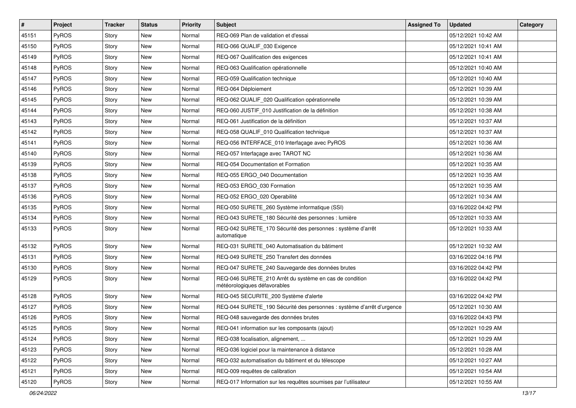| $\vert$ # | Project      | <b>Tracker</b> | <b>Status</b> | <b>Priority</b> | Subject                                                                                 | <b>Assigned To</b> | <b>Updated</b>      | Category |
|-----------|--------------|----------------|---------------|-----------------|-----------------------------------------------------------------------------------------|--------------------|---------------------|----------|
| 45151     | PyROS        | Story          | New           | Normal          | REQ-069 Plan de validation et d'essai                                                   |                    | 05/12/2021 10:42 AM |          |
| 45150     | <b>PyROS</b> | Story          | New           | Normal          | REQ-066 QUALIF_030 Exigence                                                             |                    | 05/12/2021 10:41 AM |          |
| 45149     | PyROS        | Story          | New           | Normal          | REQ-067 Qualification des exigences                                                     |                    | 05/12/2021 10:41 AM |          |
| 45148     | PyROS        | Story          | New           | Normal          | REQ-063 Qualification opérationnelle                                                    |                    | 05/12/2021 10:40 AM |          |
| 45147     | PyROS        | Story          | New           | Normal          | REQ-059 Qualification technique                                                         |                    | 05/12/2021 10:40 AM |          |
| 45146     | PyROS        | Story          | New           | Normal          | REQ-064 Déploiement                                                                     |                    | 05/12/2021 10:39 AM |          |
| 45145     | PyROS        | Story          | <b>New</b>    | Normal          | REQ-062 QUALIF_020 Qualification opérationnelle                                         |                    | 05/12/2021 10:39 AM |          |
| 45144     | PyROS        | Story          | New           | Normal          | REQ-060 JUSTIF_010 Justification de la définition                                       |                    | 05/12/2021 10:38 AM |          |
| 45143     | PyROS        | Story          | New           | Normal          | REQ-061 Justification de la définition                                                  |                    | 05/12/2021 10:37 AM |          |
| 45142     | PyROS        | Story          | New           | Normal          | REQ-058 QUALIF_010 Qualification technique                                              |                    | 05/12/2021 10:37 AM |          |
| 45141     | PyROS        | Story          | New           | Normal          | REQ-056 INTERFACE_010 Interfaçage avec PyROS                                            |                    | 05/12/2021 10:36 AM |          |
| 45140     | PyROS        | Story          | New           | Normal          | REQ-057 Interfaçage avec TAROT NC                                                       |                    | 05/12/2021 10:36 AM |          |
| 45139     | PyROS        | Story          | New           | Normal          | REQ-054 Documentation et Formation                                                      |                    | 05/12/2021 10:35 AM |          |
| 45138     | PyROS        | Story          | New           | Normal          | REQ-055 ERGO 040 Documentation                                                          |                    | 05/12/2021 10:35 AM |          |
| 45137     | PyROS        | Story          | New           | Normal          | REQ-053 ERGO_030 Formation                                                              |                    | 05/12/2021 10:35 AM |          |
| 45136     | PyROS        | Story          | New           | Normal          | REQ-052 ERGO_020 Operabilité                                                            |                    | 05/12/2021 10:34 AM |          |
| 45135     | PyROS        | Story          | New           | Normal          | REQ-050 SURETE_260 Système informatique (SSI)                                           |                    | 03/16/2022 04:42 PM |          |
| 45134     | PyROS        | Story          | New           | Normal          | REQ-043 SURETE_180 Sécurité des personnes : lumière                                     |                    | 05/12/2021 10:33 AM |          |
| 45133     | PyROS        | Story          | New           | Normal          | REQ-042 SURETE_170 Sécurité des personnes : système d'arrêt<br>automatique              |                    | 05/12/2021 10:33 AM |          |
| 45132     | PyROS        | Story          | New           | Normal          | REQ-031 SURETE_040 Automatisation du bâtiment                                           |                    | 05/12/2021 10:32 AM |          |
| 45131     | PyROS        | Story          | New           | Normal          | REQ-049 SURETE 250 Transfert des données                                                |                    | 03/16/2022 04:16 PM |          |
| 45130     | PyROS        | Story          | New           | Normal          | REQ-047 SURETE_240 Sauvegarde des données brutes                                        |                    | 03/16/2022 04:42 PM |          |
| 45129     | PyROS        | Story          | New           | Normal          | REQ-046 SURETE_210 Arrêt du système en cas de condition<br>météorologiques défavorables |                    | 03/16/2022 04:42 PM |          |
| 45128     | PyROS        | Story          | New           | Normal          | REQ-045 SECURITE_200 Système d'alerte                                                   |                    | 03/16/2022 04:42 PM |          |
| 45127     | PyROS        | Story          | New           | Normal          | REQ-044 SURETE_190 Sécurité des personnes : système d'arrêt d'urgence                   |                    | 05/12/2021 10:30 AM |          |
| 45126     | PyROS        | Story          | New           | Normal          | REQ-048 sauvegarde des données brutes                                                   |                    | 03/16/2022 04:43 PM |          |
| 45125     | PyROS        | Story          | New           | Normal          | REQ-041 information sur les composants (ajout)                                          |                    | 05/12/2021 10:29 AM |          |
| 45124     | PyROS        | Story          | New           | Normal          | REQ-038 focalisation, alignement,                                                       |                    | 05/12/2021 10:29 AM |          |
| 45123     | PyROS        | Story          | New           | Normal          | REQ-036 logiciel pour la maintenance à distance                                         |                    | 05/12/2021 10:28 AM |          |
| 45122     | PyROS        | Story          | New           | Normal          | REQ-032 automatisation du bâtiment et du télescope                                      |                    | 05/12/2021 10:27 AM |          |
| 45121     | PyROS        | Story          | New           | Normal          | REQ-009 requêtes de calibration                                                         |                    | 05/12/2021 10:54 AM |          |
| 45120     | PyROS        | Story          | New           | Normal          | REQ-017 Information sur les requêtes soumises par l'utilisateur                         |                    | 05/12/2021 10:55 AM |          |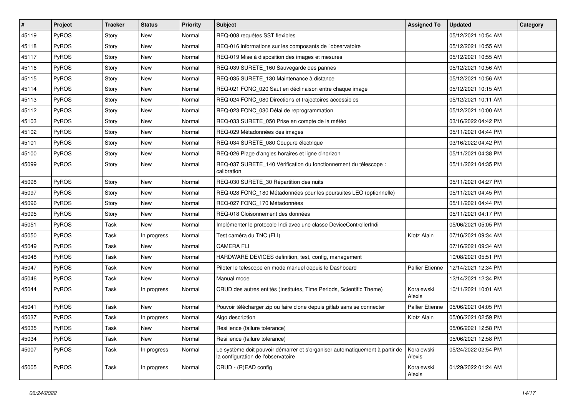| #     | Project      | <b>Tracker</b> | <b>Status</b> | <b>Priority</b> | <b>Subject</b>                                                                                                    | <b>Assigned To</b>     | <b>Updated</b>      | Category |
|-------|--------------|----------------|---------------|-----------------|-------------------------------------------------------------------------------------------------------------------|------------------------|---------------------|----------|
| 45119 | PyROS        | Story          | New           | Normal          | REQ-008 requêtes SST flexibles                                                                                    |                        | 05/12/2021 10:54 AM |          |
| 45118 | PyROS        | Story          | New           | Normal          | REQ-016 informations sur les composants de l'observatoire                                                         |                        | 05/12/2021 10:55 AM |          |
| 45117 | <b>PyROS</b> | Story          | New           | Normal          | REQ-019 Mise à disposition des images et mesures                                                                  |                        | 05/12/2021 10:55 AM |          |
| 45116 | PyROS        | Story          | New           | Normal          | REQ-039 SURETE 160 Sauvegarde des pannes                                                                          |                        | 05/12/2021 10:56 AM |          |
| 45115 | PyROS        | Story          | New           | Normal          | REQ-035 SURETE_130 Maintenance à distance                                                                         |                        | 05/12/2021 10:56 AM |          |
| 45114 | PyROS        | Story          | New           | Normal          | REQ-021 FONC_020 Saut en déclinaison entre chaque image                                                           |                        | 05/12/2021 10:15 AM |          |
| 45113 | PyROS        | Story          | New           | Normal          | REQ-024 FONC_080 Directions et trajectoires accessibles                                                           |                        | 05/12/2021 10:11 AM |          |
| 45112 | <b>PyROS</b> | Story          | New           | Normal          | REQ-023 FONC_030 Délai de reprogrammation                                                                         |                        | 05/12/2021 10:00 AM |          |
| 45103 | PyROS        | Story          | New           | Normal          | REQ-033 SURETE_050 Prise en compte de la météo                                                                    |                        | 03/16/2022 04:42 PM |          |
| 45102 | PyROS        | Story          | New           | Normal          | REQ-029 Métadonnées des images                                                                                    |                        | 05/11/2021 04:44 PM |          |
| 45101 | PyROS        | Story          | New           | Normal          | REQ-034 SURETE_080 Coupure électrique                                                                             |                        | 03/16/2022 04:42 PM |          |
| 45100 | PyROS        | Story          | New           | Normal          | REQ-026 Plage d'angles horaires et ligne d'horizon                                                                |                        | 05/11/2021 04:38 PM |          |
| 45099 | PyROS        | Story          | New           | Normal          | REQ-037 SURETE_140 Vérification du fonctionnement du télescope :<br>calibration                                   |                        | 05/11/2021 04:35 PM |          |
| 45098 | PyROS        | Story          | New           | Normal          | REQ-030 SURETE_30 Répartition des nuits                                                                           |                        | 05/11/2021 04:27 PM |          |
| 45097 | PyROS        | Story          | New           | Normal          | REQ-028 FONC_180 Métadonnées pour les poursuites LEO (optionnelle)                                                |                        | 05/11/2021 04:45 PM |          |
| 45096 | PyROS        | Story          | New           | Normal          | REQ-027 FONC 170 Métadonnées                                                                                      |                        | 05/11/2021 04:44 PM |          |
| 45095 | PyROS        | Story          | New           | Normal          | REQ-018 Cloisonnement des données                                                                                 |                        | 05/11/2021 04:17 PM |          |
| 45051 | PyROS        | Task           | New           | Normal          | Implémenter le protocole Indi avec une classe DeviceControllerIndi                                                |                        | 05/06/2021 05:05 PM |          |
| 45050 | PyROS        | Task           | In progress   | Normal          | Test caméra du TNC (FLI)                                                                                          | Klotz Alain            | 07/16/2021 09:34 AM |          |
| 45049 | PyROS        | Task           | New           | Normal          | <b>CAMERA FLI</b>                                                                                                 |                        | 07/16/2021 09:34 AM |          |
| 45048 | PyROS        | Task           | New           | Normal          | HARDWARE DEVICES definition, test, config, management                                                             |                        | 10/08/2021 05:51 PM |          |
| 45047 | PyROS        | Task           | New           | Normal          | Piloter le telescope en mode manuel depuis le Dashboard                                                           | Pallier Etienne        | 12/14/2021 12:34 PM |          |
| 45046 | PyROS        | Task           | New           | Normal          | Manual mode                                                                                                       |                        | 12/14/2021 12:34 PM |          |
| 45044 | PyROS        | Task           | In progress   | Normal          | CRUD des autres entités (Institutes, Time Periods, Scientific Theme)                                              | Koralewski<br>Alexis   | 10/11/2021 10:01 AM |          |
| 45041 | PyROS        | Task           | New           | Normal          | Pouvoir télécharger zip ou faire clone depuis gitlab sans se connecter                                            | <b>Pallier Etienne</b> | 05/06/2021 04:05 PM |          |
| 45037 | PyROS        | Task           | In progress   | Normal          | Algo description                                                                                                  | Klotz Alain            | 05/06/2021 02:59 PM |          |
| 45035 | PyROS        | Task           | New           | Normal          | Resilience (failure tolerance)                                                                                    |                        | 05/06/2021 12:58 PM |          |
| 45034 | PyROS        | Task           | New           | Normal          | Resilience (failure tolerance)                                                                                    |                        | 05/06/2021 12:58 PM |          |
| 45007 | PyROS        | Task           | In progress   | Normal          | Le système doit pouvoir démarrer et s'organiser automatiquement à partir de<br>la configuration de l'observatoire | Koralewski<br>Alexis   | 05/24/2022 02:54 PM |          |
| 45005 | PyROS        | Task           | In progress   | Normal          | CRUD - (R)EAD config                                                                                              | Koralewski<br>Alexis   | 01/29/2022 01:24 AM |          |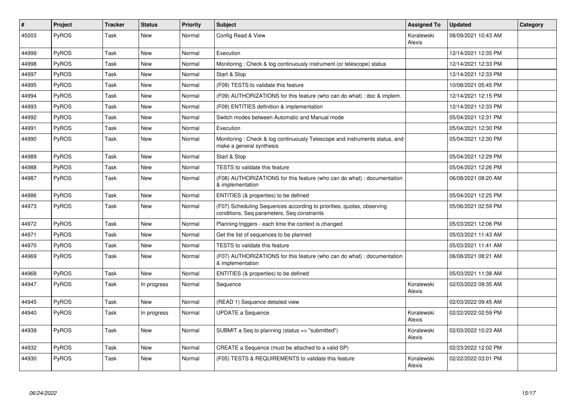| #     | Project      | <b>Tracker</b> | <b>Status</b> | <b>Priority</b> | Subject                                                                                                              | <b>Assigned To</b>   | <b>Updated</b>      | Category |
|-------|--------------|----------------|---------------|-----------------|----------------------------------------------------------------------------------------------------------------------|----------------------|---------------------|----------|
| 45003 | PyROS        | Task           | <b>New</b>    | Normal          | Config Read & View                                                                                                   | Koralewski<br>Alexis | 08/09/2021 10:43 AM |          |
| 44999 | PyROS        | Task           | New           | Normal          | Execution                                                                                                            |                      | 12/14/2021 12:35 PM |          |
| 44998 | PyROS        | Task           | <b>New</b>    | Normal          | Monitoring: Check & log continuously instrument (or telescope) status                                                |                      | 12/14/2021 12:33 PM |          |
| 44997 | PyROS        | Task           | New           | Normal          | Start & Stop                                                                                                         |                      | 12/14/2021 12:33 PM |          |
| 44995 | PyROS        | Task           | New           | Normal          | (F09) TESTS to validate this feature                                                                                 |                      | 10/08/2021 05:45 PM |          |
| 44994 | PyROS        | Task           | <b>New</b>    | Normal          | (F09) AUTHORIZATIONS for this feature (who can do what) : doc & implem.                                              |                      | 12/14/2021 12:15 PM |          |
| 44993 | PyROS        | Task           | New           | Normal          | (F09) ENTITIES definition & implementation                                                                           |                      | 12/14/2021 12:33 PM |          |
| 44992 | PyROS        | Task           | <b>New</b>    | Normal          | Switch modes between Automatic and Manual mode                                                                       |                      | 05/04/2021 12:31 PM |          |
| 44991 | PyROS        | Task           | <b>New</b>    | Normal          | Execution                                                                                                            |                      | 05/04/2021 12:30 PM |          |
| 44990 | PyROS        | Task           | New           | Normal          | Monitoring: Check & log continuously Telescope and instruments status, and<br>make a general synthesis               |                      | 05/04/2021 12:30 PM |          |
| 44989 | PyROS        | Task           | <b>New</b>    | Normal          | Start & Stop                                                                                                         |                      | 05/04/2021 12:29 PM |          |
| 44988 | PyROS        | Task           | New           | Normal          | TESTS to validate this feature                                                                                       |                      | 05/04/2021 12:26 PM |          |
| 44987 | <b>PyROS</b> | Task           | New           | Normal          | (F08) AUTHORIZATIONS for this feature (who can do what) : documentation<br>& implementation                          |                      | 06/08/2021 08:20 AM |          |
| 44986 | PyROS        | Task           | New           | Normal          | ENTITIES (& properties) to be defined                                                                                |                      | 05/04/2021 12:25 PM |          |
| 44973 | <b>PyROS</b> | Task           | <b>New</b>    | Normal          | (F07) Scheduling Sequences according to priorities, quotas, observing<br>conditions, Seq parameters, Seq constraints |                      | 05/06/2021 02:59 PM |          |
| 44972 | <b>PyROS</b> | Task           | <b>New</b>    | Normal          | Planning triggers - each time the context is changed                                                                 |                      | 05/03/2021 12:06 PM |          |
| 44971 | PyROS        | Task           | <b>New</b>    | Normal          | Get the list of sequences to be planned                                                                              |                      | 05/03/2021 11:43 AM |          |
| 44970 | PyROS        | Task           | New           | Normal          | TESTS to validate this feature                                                                                       |                      | 05/03/2021 11:41 AM |          |
| 44969 | PyROS        | Task           | <b>New</b>    | Normal          | (F07) AUTHORIZATIONS for this feature (who can do what) : documentation<br>& implementation                          |                      | 06/08/2021 08:21 AM |          |
| 44968 | PyROS        | Task           | New           | Normal          | ENTITIES (& properties) to be defined                                                                                |                      | 05/03/2021 11:38 AM |          |
| 44947 | PyROS        | Task           | In progress   | Normal          | Sequence                                                                                                             | Koralewski<br>Alexis | 02/03/2022 09:35 AM |          |
| 44945 | PyROS        | Task           | <b>New</b>    | Normal          | (READ 1) Sequence detailed view                                                                                      |                      | 02/03/2022 09:45 AM |          |
| 44940 | PyROS        | Task           | In progress   | Normal          | <b>UPDATE a Sequence</b>                                                                                             | Koralewski<br>Alexis | 02/22/2022 02:59 PM |          |
| 44939 | PyROS        | Task           | <b>New</b>    | Normal          | SUBMIT a Seq to planning (status => "submitted")                                                                     | Koralewski<br>Alexis | 02/03/2022 10:23 AM |          |
| 44932 | PyROS        | Task           | New           | Normal          | CREATE a Sequence (must be attached to a valid SP)                                                                   |                      | 02/23/2022 12:02 PM |          |
| 44930 | PyROS        | Task           | <b>New</b>    | Normal          | (F05) TESTS & REQUIREMENTS to validate this feature                                                                  | Koralewski<br>Alexis | 02/22/2022 03:01 PM |          |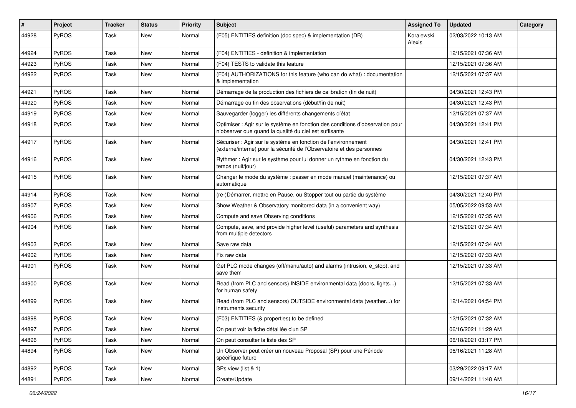| #     | Project | <b>Tracker</b> | <b>Status</b> | <b>Priority</b> | <b>Subject</b>                                                                                                                          | <b>Assigned To</b>   | <b>Updated</b>      | Category |
|-------|---------|----------------|---------------|-----------------|-----------------------------------------------------------------------------------------------------------------------------------------|----------------------|---------------------|----------|
| 44928 | PyROS   | Task           | New           | Normal          | (F05) ENTITIES definition (doc spec) & implementation (DB)                                                                              | Koralewski<br>Alexis | 02/03/2022 10:13 AM |          |
| 44924 | PyROS   | Task           | <b>New</b>    | Normal          | (F04) ENTITIES - definition & implementation                                                                                            |                      | 12/15/2021 07:36 AM |          |
| 44923 | PyROS   | Task           | New           | Normal          | (F04) TESTS to validate this feature                                                                                                    |                      | 12/15/2021 07:36 AM |          |
| 44922 | PyROS   | Task           | <b>New</b>    | Normal          | (F04) AUTHORIZATIONS for this feature (who can do what) : documentation<br>& implementation                                             |                      | 12/15/2021 07:37 AM |          |
| 44921 | PyROS   | Task           | New           | Normal          | Démarrage de la production des fichiers de calibration (fin de nuit)                                                                    |                      | 04/30/2021 12:43 PM |          |
| 44920 | PyROS   | Task           | New           | Normal          | Démarrage ou fin des observations (début/fin de nuit)                                                                                   |                      | 04/30/2021 12:43 PM |          |
| 44919 | PyROS   | Task           | New           | Normal          | Sauvegarder (logger) les différents changements d'état                                                                                  |                      | 12/15/2021 07:37 AM |          |
| 44918 | PyROS   | Task           | New           | Normal          | Optimiser : Agir sur le système en fonction des conditions d'observation pour<br>n'observer que quand la qualité du ciel est suffisante |                      | 04/30/2021 12:41 PM |          |
| 44917 | PyROS   | Task           | New           | Normal          | Sécuriser : Agir sur le système en fonction de l'environnement<br>(externe/interne) pour la sécurité de l'Observatoire et des personnes |                      | 04/30/2021 12:41 PM |          |
| 44916 | PyROS   | Task           | New           | Normal          | Rythmer : Agir sur le système pour lui donner un rythme en fonction du<br>temps (nuit/jour)                                             |                      | 04/30/2021 12:43 PM |          |
| 44915 | PyROS   | Task           | New           | Normal          | Changer le mode du système : passer en mode manuel (maintenance) ou<br>automatique                                                      |                      | 12/15/2021 07:37 AM |          |
| 44914 | PyROS   | Task           | <b>New</b>    | Normal          | (re-)Démarrer, mettre en Pause, ou Stopper tout ou partie du système                                                                    |                      | 04/30/2021 12:40 PM |          |
| 44907 | PyROS   | Task           | New           | Normal          | Show Weather & Observatory monitored data (in a convenient way)                                                                         |                      | 05/05/2022 09:53 AM |          |
| 44906 | PyROS   | Task           | New           | Normal          | Compute and save Observing conditions                                                                                                   |                      | 12/15/2021 07:35 AM |          |
| 44904 | PyROS   | Task           | New           | Normal          | Compute, save, and provide higher level (useful) parameters and synthesis<br>from multiple detectors                                    |                      | 12/15/2021 07:34 AM |          |
| 44903 | PyROS   | Task           | New           | Normal          | Save raw data                                                                                                                           |                      | 12/15/2021 07:34 AM |          |
| 44902 | PyROS   | Task           | New           | Normal          | Fix raw data                                                                                                                            |                      | 12/15/2021 07:33 AM |          |
| 44901 | PyROS   | Task           | New           | Normal          | Get PLC mode changes (off/manu/auto) and alarms (intrusion, e_stop), and<br>save them                                                   |                      | 12/15/2021 07:33 AM |          |
| 44900 | PyROS   | Task           | New           | Normal          | Read (from PLC and sensors) INSIDE environmental data (doors, lights)<br>for human safety                                               |                      | 12/15/2021 07:33 AM |          |
| 44899 | PyROS   | Task           | New           | Normal          | Read (from PLC and sensors) OUTSIDE environmental data (weather) for<br>instruments security                                            |                      | 12/14/2021 04:54 PM |          |
| 44898 | PyROS   | Task           | New           | Normal          | (F03) ENTITIES (& properties) to be defined                                                                                             |                      | 12/15/2021 07:32 AM |          |
| 44897 | PyROS   | Task           | New           | Normal          | On peut voir la fiche détaillée d'un SP                                                                                                 |                      | 06/16/2021 11:29 AM |          |
| 44896 | PyROS   | Task           | New           | Normal          | On peut consulter la liste des SP                                                                                                       |                      | 06/18/2021 03:17 PM |          |
| 44894 | PyROS   | Task           | New           | Normal          | Un Observer peut créer un nouveau Proposal (SP) pour une Période<br>spécifique future                                                   |                      | 06/16/2021 11:28 AM |          |
| 44892 | PyROS   | Task           | New           | Normal          | SPs view (list & 1)                                                                                                                     |                      | 03/29/2022 09:17 AM |          |
| 44891 | PyROS   | Task           | New           | Normal          | Create/Update                                                                                                                           |                      | 09/14/2021 11:48 AM |          |